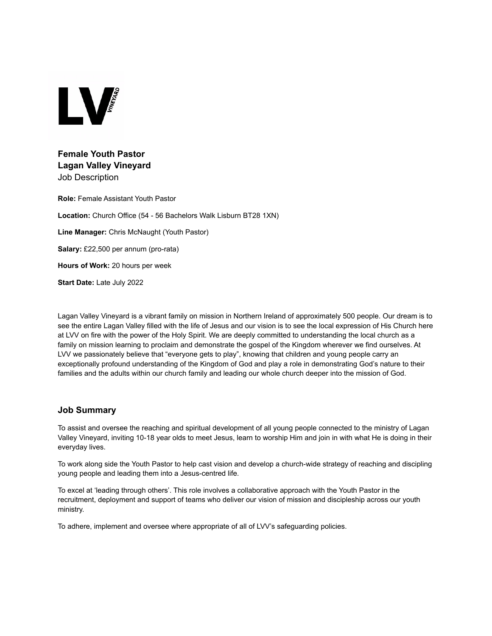

# **Female Youth Pastor Lagan Valley Vineyard** Job Description

**Role:** Female Assistant Youth Pastor **Location:** Church Office (54 - 56 Bachelors Walk Lisburn BT28 1XN) **Line Manager:** Chris McNaught (Youth Pastor) **Salary:** £22,500 per annum (pro-rata) **Hours of Work:** 20 hours per week **Start Date:** Late July 2022

Lagan Valley Vineyard is a vibrant family on mission in Northern Ireland of approximately 500 people. Our dream is to see the entire Lagan Valley filled with the life of Jesus and our vision is to see the local expression of His Church here at LVV on fire with the power of the Holy Spirit. We are deeply committed to understanding the local church as a family on mission learning to proclaim and demonstrate the gospel of the Kingdom wherever we find ourselves. At LVV we passionately believe that "everyone gets to play", knowing that children and young people carry an exceptionally profound understanding of the Kingdom of God and play a role in demonstrating God's nature to their families and the adults within our church family and leading our whole church deeper into the mission of God.

# **Job Summary**

To assist and oversee the reaching and spiritual development of all young people connected to the ministry of Lagan Valley Vineyard, inviting 10-18 year olds to meet Jesus, learn to worship Him and join in with what He is doing in their everyday lives.

To work along side the Youth Pastor to help cast vision and develop a church-wide strategy of reaching and discipling young people and leading them into a Jesus-centred life.

To excel at 'leading through others'. This role involves a collaborative approach with the Youth Pastor in the recruitment, deployment and support of teams who deliver our vision of mission and discipleship across our youth ministry.

To adhere, implement and oversee where appropriate of all of LVV's safeguarding policies.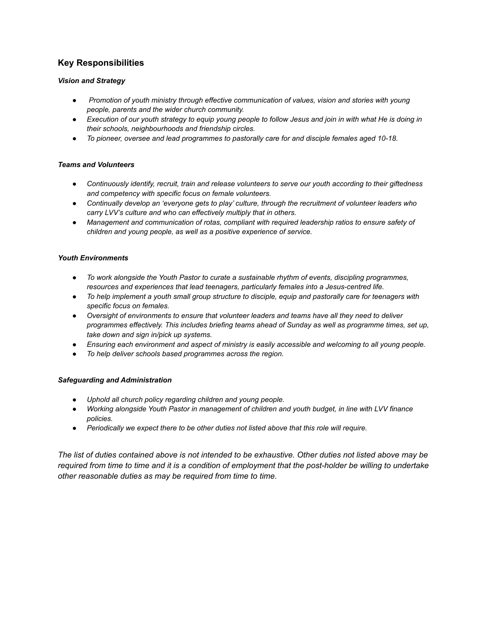# **Key Responsibilities**

## *Vision and Strategy*

- *Promotion of youth ministry through effective communication of values, vision and stories with young people, parents and the wider church community.*
- *Execution of our youth strategy to equip young people to follow Jesus and join in with what He is doing in their schools, neighbourhoods and friendship circles.*
- *To pioneer, oversee and lead programmes to pastorally care for and disciple females aged 10-18.*

## *Teams and Volunteers*

- *Continuously identify, recruit, train and release volunteers to serve our youth according to their giftedness and competency with specific focus on female volunteers.*
- *Continually develop an 'everyone gets to play' culture, through the recruitment of volunteer leaders who carry LVV's culture and who can effectively multiply that in others.*
- *Management and communication of rotas, compliant with required leadership ratios to ensure safety of children and young people, as well as a positive experience of service.*

### *Youth Environments*

- *To work alongside the Youth Pastor to curate a sustainable rhythm of events, discipling programmes, resources and experiences that lead teenagers, particularly females into a Jesus-centred life.*
- *To help implement a youth small group structure to disciple, equip and pastorally care for teenagers with specific focus on females.*
- *Oversight of environments to ensure that volunteer leaders and teams have all they need to deliver programmes effectively. This includes briefing teams ahead of Sunday as well as programme times, set up, take down and sign in/pick up systems.*
- *Ensuring each environment and aspect of ministry is easily accessible and welcoming to all young people.*
- *To help deliver schools based programmes across the region.*

### *Safeguarding and Administration*

- Uphold all church policy regarding children and young people.
- *Working alongside Youth Pastor in management of children and youth budget, in line with LVV finance policies.*
- *Periodically we expect there to be other duties not listed above that this role will require.*

The list of duties contained above is not intended to be exhaustive. Other duties not listed above may be required from time to time and it is a condition of employment that the post-holder be willing to undertake *other reasonable duties as may be required from time to time.*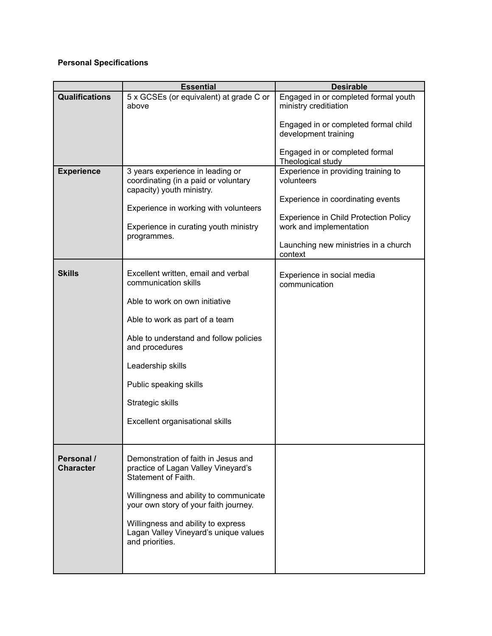# **Personal Specifications**

|                                | <b>Essential</b>                                                                | <b>Desirable</b>                                         |
|--------------------------------|---------------------------------------------------------------------------------|----------------------------------------------------------|
| <b>Qualifications</b>          | 5 x GCSEs (or equivalent) at grade C or                                         | Engaged in or completed formal youth                     |
|                                | above                                                                           | ministry creditiation                                    |
|                                |                                                                                 | Engaged in or completed formal child                     |
|                                |                                                                                 | development training                                     |
|                                |                                                                                 | Engaged in or completed formal                           |
| <b>Experience</b>              | 3 years experience in leading or                                                | Theological study<br>Experience in providing training to |
|                                | coordinating (in a paid or voluntary                                            | volunteers                                               |
|                                | capacity) youth ministry.                                                       |                                                          |
|                                | Experience in working with volunteers                                           | Experience in coordinating events                        |
|                                |                                                                                 | <b>Experience in Child Protection Policy</b>             |
|                                | Experience in curating youth ministry<br>programmes.                            | work and implementation                                  |
|                                |                                                                                 | Launching new ministries in a church                     |
|                                |                                                                                 | context                                                  |
| <b>Skills</b>                  | Excellent written, email and verbal                                             | Experience in social media                               |
|                                | communication skills                                                            | communication                                            |
|                                | Able to work on own initiative                                                  |                                                          |
|                                | Able to work as part of a team                                                  |                                                          |
|                                | Able to understand and follow policies                                          |                                                          |
|                                | and procedures                                                                  |                                                          |
|                                | Leadership skills                                                               |                                                          |
|                                | Public speaking skills                                                          |                                                          |
|                                | Strategic skills                                                                |                                                          |
|                                | Excellent organisational skills                                                 |                                                          |
|                                |                                                                                 |                                                          |
|                                |                                                                                 |                                                          |
| Personal /<br><b>Character</b> | Demonstration of faith in Jesus and<br>practice of Lagan Valley Vineyard's      |                                                          |
|                                | Statement of Faith.                                                             |                                                          |
|                                |                                                                                 |                                                          |
|                                | Willingness and ability to communicate<br>your own story of your faith journey. |                                                          |
|                                | Willingness and ability to express                                              |                                                          |
|                                | Lagan Valley Vineyard's unique values                                           |                                                          |
|                                |                                                                                 |                                                          |
|                                |                                                                                 |                                                          |
|                                | and priorities.                                                                 |                                                          |